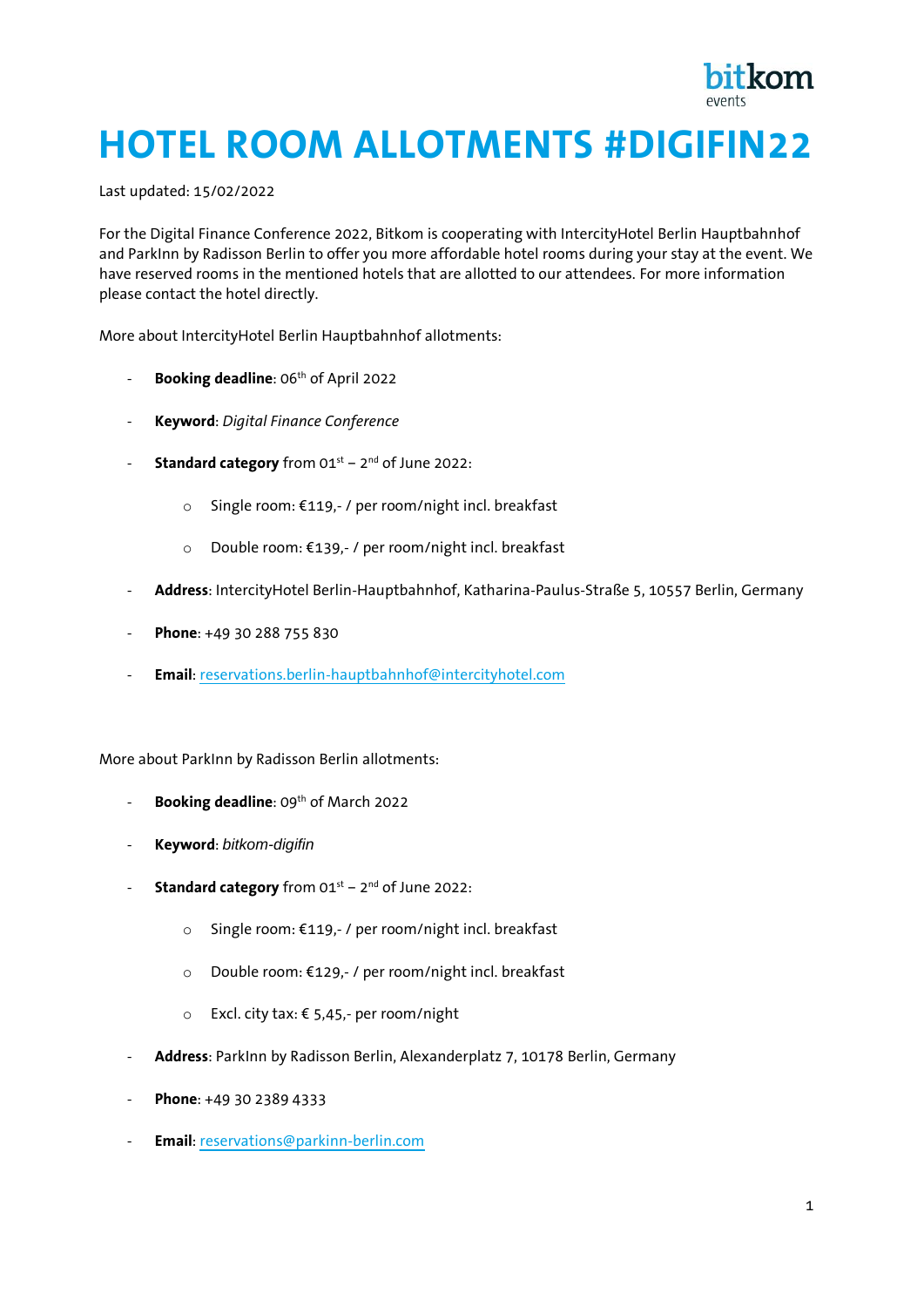

## **HOTEL ROOM ALLOTMENTS #DIGIFIN22**

Last updated: 15/02/2022

For the Digital Finance Conference 2022, Bitkom is cooperating with IntercityHotel Berlin Hauptbahnhof and ParkInn by Radisson Berlin to offer you more affordable hotel rooms during your stay at the event. We have reserved rooms in the mentioned hotels that are allotted to our attendees. For more information please contact the hotel directly.

More about IntercityHotel Berlin Hauptbahnhof allotments:

- Booking deadline: 06<sup>th</sup> of April 2022
- **Keyword**: *Digital Finance Conference*
- **Standard category** from 01st 2<sup>nd</sup> of June 2022:
	- o Single room: €119,- / per room/night incl. breakfast
	- o Double room: €139,- / per room/night incl. breakfast
- **Address**: IntercityHotel Berlin-Hauptbahnhof, Katharina-Paulus-Straße 5, 10557 Berlin, Germany
- Phone: +49 30 288 755 830
- **Email**: [reservations.berlin-hauptbahnhof@intercityhotel.com](mailto:reservations.berlin-hauptbahnhof@intercityhotel.com)

More about ParkInn by Radisson Berlin allotments:

- **Booking deadline**: 09<sup>th</sup> of March 2022
- **Keyword**: *bitkom-digifin*
- **Standard category** from 01st 2<sup>nd</sup> of June 2022:
	- o Single room: €119,- / per room/night incl. breakfast
	- o Double room: €129,- / per room/night incl. breakfast
	- o Excl. city tax: € 5,45,- per room/night
- **Address**: ParkInn by Radisson Berlin, Alexanderplatz 7, 10178 Berlin, Germany
- **Phone**: +49 30 2389 4333
- **Email**: [reservations@parkinn-berlin.com](mailto:reservations@parkinn-berlin.com)